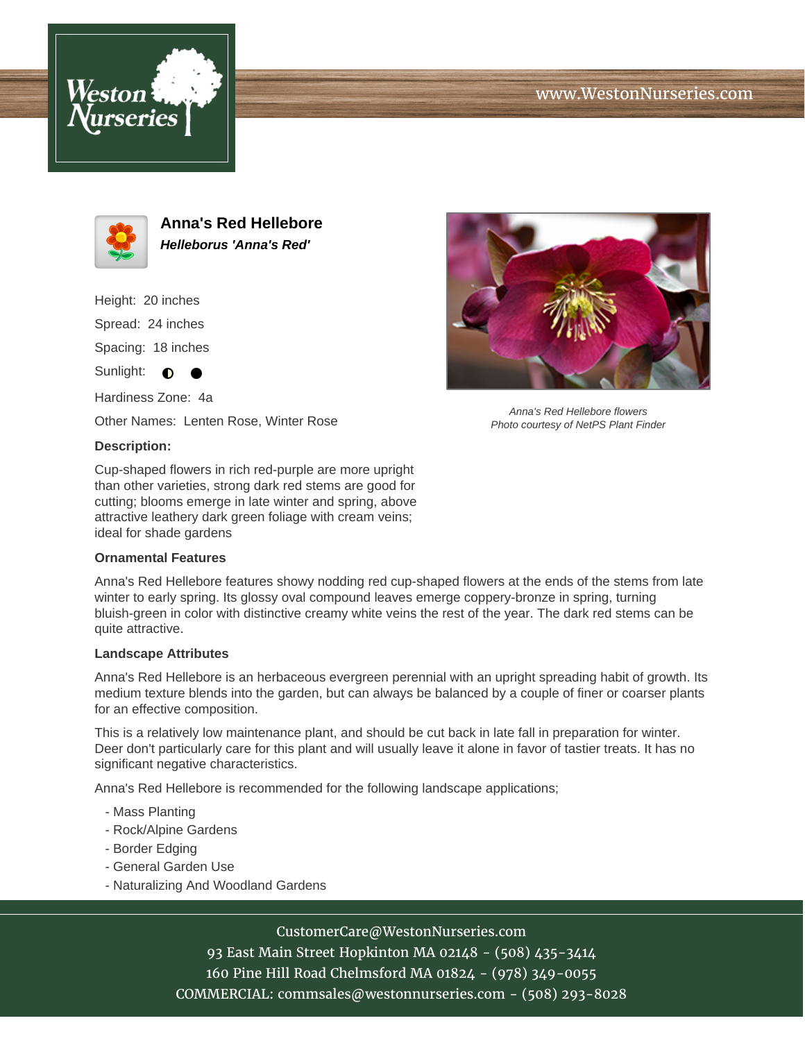





**Anna's Red Hellebore Helleborus 'Anna's Red'**

Height: 20 inches Spread: 24 inches Spacing: 18 inches Sunlight:  $\bullet$  $\bullet$ 

Hardiness Zone: 4a Other Names: Lenten Rose, Winter Rose

## **Description:**

Cup-shaped flowers in rich red-purple are more upright than other varieties, strong dark red stems are good for cutting; blooms emerge in late winter and spring, above attractive leathery dark green foliage with cream veins; ideal for shade gardens

## **Ornamental Features**

Anna's Red Hellebore features showy nodding red cup-shaped flowers at the ends of the stems from late winter to early spring. Its glossy oval compound leaves emerge coppery-bronze in spring, turning bluish-green in color with distinctive creamy white veins the rest of the year. The dark red stems can be quite attractive.

## **Landscape Attributes**

Anna's Red Hellebore is an herbaceous evergreen perennial with an upright spreading habit of growth. Its medium texture blends into the garden, but can always be balanced by a couple of finer or coarser plants for an effective composition.

This is a relatively low maintenance plant, and should be cut back in late fall in preparation for winter. Deer don't particularly care for this plant and will usually leave it alone in favor of tastier treats. It has no significant negative characteristics.

Anna's Red Hellebore is recommended for the following landscape applications;

- Mass Planting
- Rock/Alpine Gardens
- Border Edging
- General Garden Use
- Naturalizing And Woodland Gardens



93 East Main Street Hopkinton MA 02148 - (508) 435-3414 160 Pine Hill Road Chelmsford MA 01824 - (978) 349-0055 COMMERCIAL: commsales@westonnurseries.com - (508) 293-8028



Anna's Red Hellebore flowers Photo courtesy of NetPS Plant Finder